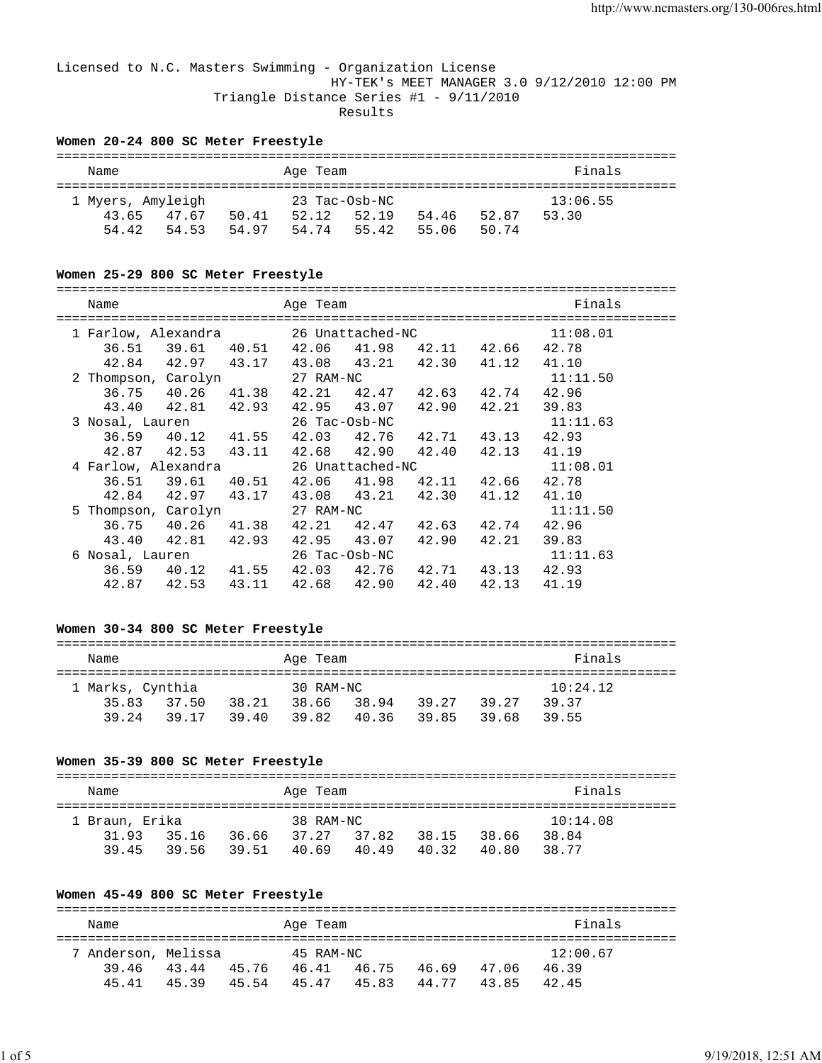### Licensed to N.C. Masters Swimming - Organization License HY-TEK's MEET MANAGER 3.0 9/12/2010 12:00 PM Triangle Distance Series #1 - 9/11/2010 Results

#### **Women 20-24 800 SC Meter Freestyle**

| Name  |                   |       | Age Team |               |       |       | Finals   |  |
|-------|-------------------|-------|----------|---------------|-------|-------|----------|--|
|       | 1 Myers, Amyleigh |       |          | 23 Tac-Osb-NC |       |       | 13:06.55 |  |
| 43.65 | 47.67             | 50.41 | 52.12    | 52.19         | 54.46 | 52.87 | 53.30    |  |
| 54 42 | 54.53             | 54.97 | 54.74    | 55 42         | 55.06 | 50 74 |          |  |

# **Women 25-29 800 SC Meter Freestyle**

| Name                |                                                 |       | Age Team      |                  |                               |       | Finals   |
|---------------------|-------------------------------------------------|-------|---------------|------------------|-------------------------------|-------|----------|
|                     |                                                 |       |               |                  |                               |       | 11:08.01 |
|                     | 36.51 39.61 40.51 42.06 41.98 42.11 42.66 42.78 |       |               |                  |                               |       |          |
| 42.84               | 42.97 43.17                                     |       |               |                  | 43.08 43.21 42.30 41.12 41.10 |       |          |
| 2 Thompson, Carolyn |                                                 |       | 27 RAM-NC     |                  |                               |       | 11:11.50 |
|                     | 36.75 40.26 41.38 42.21 42.47 42.63 42.74 42.96 |       |               |                  |                               |       |          |
|                     | 43.40 42.81 42.93                               |       |               |                  | 42.95 43.07 42.90 42.21       |       | 39.83    |
| 3 Nosal, Lauren     |                                                 |       | 26 Tac-Osb-NC |                  |                               |       | 11:11.63 |
|                     | 36.59 40.12 41.55                               |       |               |                  | 42.03 42.76 42.71 43.13 42.93 |       |          |
|                     | 42.87  42.53  43.11                             |       | 42.68 42.90   |                  | 42.40                         | 42.13 | 41.19    |
| 4 Farlow, Alexandra |                                                 |       |               | 26 Unattached-NC |                               |       | 11:08.01 |
|                     | 36.51 39.61 40.51 42.06 41.98 42.11 42.66 42.78 |       |               |                  |                               |       |          |
|                     | 42.84 42.97 43.17                               |       |               |                  | 43.08 43.21 42.30 41.12 41.10 |       |          |
| 5 Thompson, Carolyn |                                                 |       | 27 RAM-NC     |                  |                               |       | 11:11.50 |
| 36.75 40.26         |                                                 | 41.38 |               |                  | 42.21 42.47 42.63 42.74 42.96 |       |          |
|                     | 43.40 42.81 42.93                               |       | 42.95 43.07   |                  | 42.90 42.21                   |       | 39.83    |
| 6 Nosal, Lauren     |                                                 |       | 26 Tac-Osb-NC |                  |                               |       | 11:11.63 |
|                     | 36.59 40.12 41.55                               |       |               |                  | 42.03 42.76 42.71 43.13 42.93 |       |          |
| 42.87 42.53         |                                                 | 43.11 | 42.68 42.90   |                  | 42.40                         | 42.13 | 41.19    |
|                     |                                                 |       |               |                  |                               |       |          |

## **Women 30-34 800 SC Meter Freestyle**

| Name             |       |       | Age Team  |       |       |       | Finals   |  |
|------------------|-------|-------|-----------|-------|-------|-------|----------|--|
| 1 Marks, Cynthia |       |       | 30 RAM-NC |       |       |       | 10:24.12 |  |
| 35.83            | 37.50 | 38.21 | 38.66     | 38.94 | 39.27 | 39.27 | 39.37    |  |
| 39 24            | 39.17 | 39.40 | 39.82     | 40.36 | 39.85 | 39 68 | 39.55    |  |

## **Women 35-39 800 SC Meter Freestyle**

| Name                    |       |       | Age Team           |       |       |       | Finals            |  |
|-------------------------|-------|-------|--------------------|-------|-------|-------|-------------------|--|
| 1 Braun, Erika<br>31.93 | 35.16 | 36.66 | 38 RAM-NC<br>37.27 | 37.82 | 38.15 | 38.66 | 10:14.08<br>38.84 |  |
| 3945                    | 39.56 | 39.51 | 40.69              | 40.49 | 40.32 | 4080  | 38.77             |  |

## **Women 45-49 800 SC Meter Freestyle**

| Name                |       |       | Age Team  |       |       |       | Finals   |  |
|---------------------|-------|-------|-----------|-------|-------|-------|----------|--|
| 7 Anderson, Melissa |       |       | 45 RAM-NC |       |       |       | 12:00.67 |  |
| 39.46               | 43.44 | 45.76 | 46.41     | 46.75 | 46.69 | 47.06 | 46.39    |  |
| 45 41               | 4539  | 45.54 | 45.47     | 45.83 | 44 77 | 43 85 | 42.45    |  |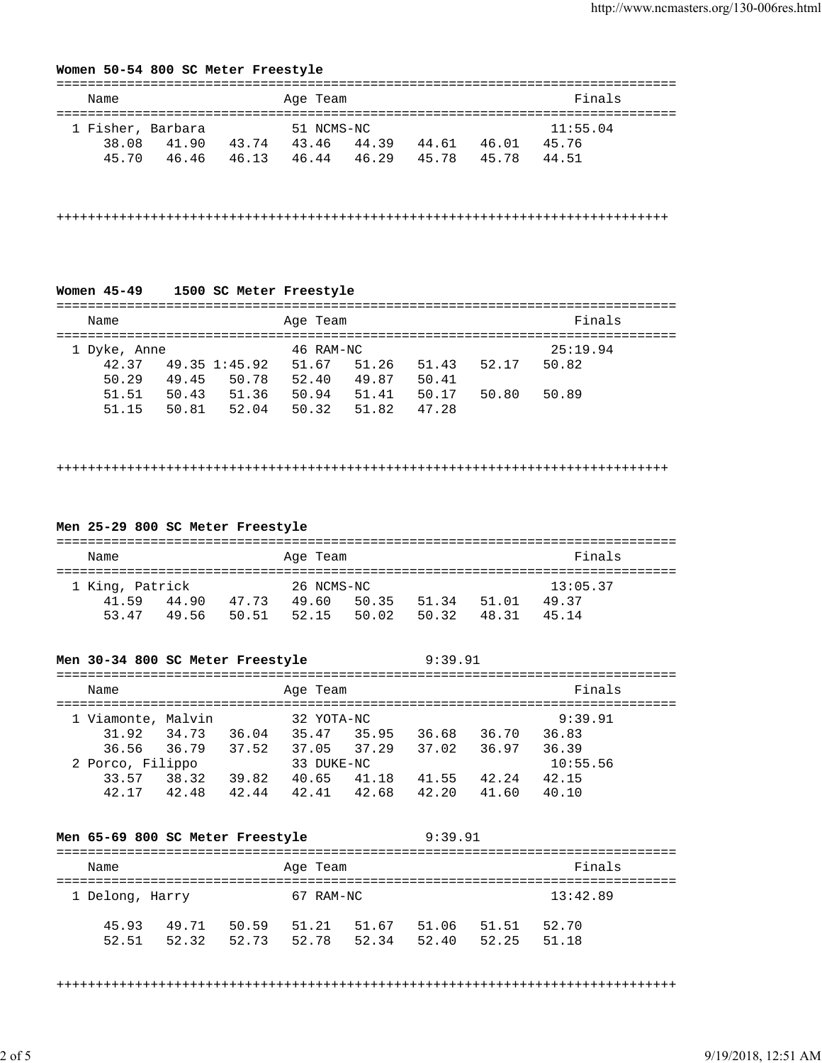# **Women 50-54 800 SC Meter Freestyle**

| Name              |       |       | Age Team   |       |       |       | Finals   |  |
|-------------------|-------|-------|------------|-------|-------|-------|----------|--|
| 1 Fisher, Barbara |       |       | 51 NCMS-NC |       |       |       | 11:55.04 |  |
| 38.08             | 41.90 | 43.74 | 43.46      | 44.39 | 44.61 | 46.01 | 45.76    |  |
| 45.70             | 4646  | 46.13 | 46.44      | 46.29 | 45 78 | 45 78 | 44 51    |  |

++++++++++++++++++++++++++++++++++++++++++++++++++++++++++++++++++++++++++++++

# **Women 45-49 1500 SC Meter Freestyle**

| Name                    | Age Team       | Finals                  |
|-------------------------|----------------|-------------------------|
|                         |                |                         |
| 1 Dyke, Anne            | 46 RAM-NC      | 25:19.94                |
| 49.35 1:45.92<br>42.37  | 51.67<br>51.26 | 50.82<br>51.43<br>52.17 |
| 50.29<br>49.45<br>50.78 | 52.40<br>49.87 | 50.41                   |
| 51.36<br>51.51<br>50.43 | 51.41<br>50.94 | 50.89<br>50.17<br>50.80 |
| 50.81<br>52.04<br>51.15 | 51.82<br>50.32 | 47.28                   |

#### ++++++++++++++++++++++++++++++++++++++++++++++++++++++++++++++++++++++++++++++

#### **Men 25-29 800 SC Meter Freestyle**

| Name            |       |       | Age Team   |       |       |       | Finals   |  |
|-----------------|-------|-------|------------|-------|-------|-------|----------|--|
| 1 King, Patrick |       |       | 26 NCMS-NC |       |       |       | 13:05.37 |  |
| 41 59           | 44.90 | 47.73 | 49.60      | 50.35 | 51.34 | 51.01 | 49.37    |  |
| 53 47           | 49.56 | 50.51 | 52.15      | 50.02 | 50.32 | 48 31 | 45 14    |  |

#### **Men 30-34 800 SC Meter Freestyle** 9:39.91

| Name               |       | Age Team   |       |       |       | Finals   |  |
|--------------------|-------|------------|-------|-------|-------|----------|--|
| 1 Viamonte, Malvin |       | 32 YOTA-NC |       |       |       | 9:39.91  |  |
| 34.73<br>31.92     | 36.04 | 35.47      | 35.95 | 36.68 | 36.70 | 36.83    |  |
| 36.56<br>36.79     | 37.52 | 37.05      | 37.29 | 37.02 | 36.97 | 36.39    |  |
| 2 Porco, Filippo   |       | 33 DUKE-NC |       |       |       | 10:55.56 |  |
| 33.57<br>38.32     | 39.82 | 40.65      | 41.18 | 41.55 | 42.24 | 42.15    |  |
| 42.17<br>42.48     | 42.44 | 42.41      | 42.68 | 42.20 | 41.60 | 40.10    |  |

|                 |                | Men 65-69 800 SC Meter Freestyle |                |           |                | 9:39.91        |                |                |
|-----------------|----------------|----------------------------------|----------------|-----------|----------------|----------------|----------------|----------------|
| Name            |                |                                  |                | Age Team  |                |                |                | Finals         |
| 1 Delong, Harry |                |                                  |                | 67 RAM-NC |                |                |                | 13:42.89       |
| 45.93<br>52.51  | 49.71<br>52.32 | 50.59<br>52.73                   | 51.21<br>52.78 |           | 51.67<br>52.34 | 51.06<br>52.40 | 51.51<br>52.25 | 52.70<br>51.18 |

+++++++++++++++++++++++++++++++++++++++++++++++++++++++++++++++++++++++++++++++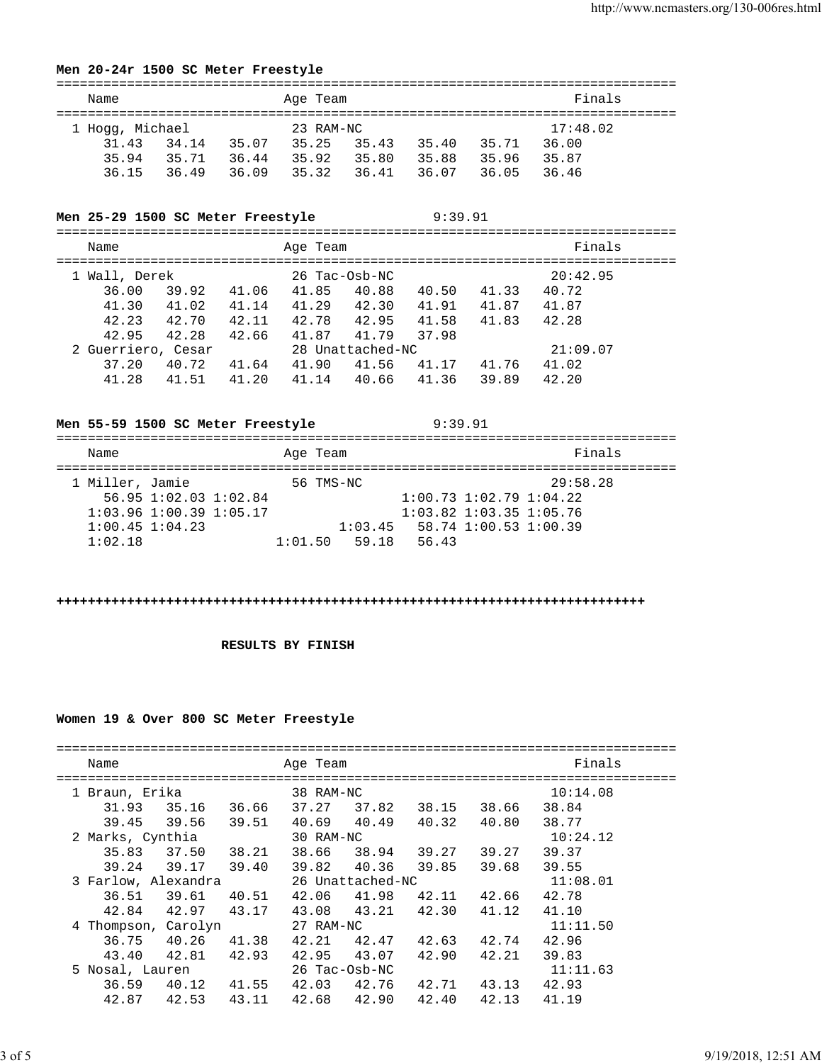# **Men 20-24r 1500 SC Meter Freestyle**

| Name            |       |       | Age Team  |       |       |       | Finals   |
|-----------------|-------|-------|-----------|-------|-------|-------|----------|
|                 |       |       |           |       |       |       |          |
| 1 Hogg, Michael |       |       | 23 RAM-NC |       |       |       | 17:48.02 |
| 31.43           | 34.14 | 35.07 | 35.25     | 35.43 | 35.40 | 35.71 | 36.00    |
| 35.94           | 35.71 | 36.44 | 35.92     | 35.80 | 35.88 | 35.96 | 35.87    |
| 36 15           | 36.49 | 36.09 | 35.32     | 36.41 | 36.07 | 36.05 | 36.46    |

**Men 25-29 1500 SC Meter Freestyle** 9:39.91

| Name               |       |       | Age Team |                  |       |       | Finals   |  |
|--------------------|-------|-------|----------|------------------|-------|-------|----------|--|
| 1 Wall, Derek      |       |       |          | $26$ Tac-Osb-NC  |       |       | 20:42.95 |  |
| 36.00              | 39.92 | 41.06 | 41.85    | 40.88            | 40.50 | 41.33 | 40.72    |  |
| 41.30              | 41.02 | 41.14 | 41.29    | 42.30            | 41.91 | 41.87 | 41.87    |  |
| 42.23              | 42.70 | 42.11 | 42.78    | 42.95            | 41.58 | 41.83 | 42.28    |  |
| 42.95              | 42.28 | 42.66 | 41.87    | 41.79            | 37.98 |       |          |  |
| 2 Guerriero, Cesar |       |       |          | 28 Unattached-NC |       |       | 21:09.07 |  |
| 37.20              | 40.72 | 41.64 | 41.90    | 41.56            | 41.17 | 41.76 | 41.02    |  |
| 41.28              | 41.51 | 41.20 | 41.14    | 40.66            | 41.36 | 39.89 | 42.20    |  |
|                    |       |       |          |                  |       |       |          |  |

**Men 55-59 1500 SC Meter Freestyle** 9:39.91

| Name            |                               |  | Age Team |  |           |       |                               | Finals   |  |  |  |
|-----------------|-------------------------------|--|----------|--|-----------|-------|-------------------------------|----------|--|--|--|
|                 |                               |  |          |  |           |       |                               |          |  |  |  |
| 1 Miller, Jamie |                               |  |          |  | 56 TMS-NC |       |                               | 29:58.28 |  |  |  |
|                 | 56.95 1:02.03 1:02.84         |  |          |  |           |       | $1:00.73$ 1:02.79 1:04.22     |          |  |  |  |
|                 | $1:03.96$ $1:00.39$ $1:05.17$ |  |          |  |           |       | $1:03.82$ $1:03.35$ $1:05.76$ |          |  |  |  |
|                 | $1:00.45$ $1:04.23$           |  |          |  | 1:03.45   |       | 58.74 1:00.53 1:00.39         |          |  |  |  |
| 1:02.18         |                               |  | 1:01.50  |  | 59.18     | 56.43 |                               |          |  |  |  |

#### **+++++++++++++++++++++++++++++++++++++++++++++++++++++++++++++++++++++++++++**

### **RESULTS BY FINISH**

#### **Women 19 & Over 800 SC Meter Freestyle**

|   | Name                |                             |       | Age Team      |                  |       |       | Finals   |
|---|---------------------|-----------------------------|-------|---------------|------------------|-------|-------|----------|
|   |                     | =========================== |       |               |                  |       |       |          |
|   | 1 Braun, Erika      |                             |       | 38 RAM-NC     |                  |       |       | 10:14.08 |
|   | 31.93               | 35.16                       | 36.66 | 37.27         | 37.82            | 38.15 | 38.66 | 38.84    |
|   | 39.45               | 39.56                       | 39.51 | 40.69         | 40.49            | 40.32 | 40.80 | 38.77    |
|   | 2 Marks, Cynthia    |                             |       | 30 RAM-NC     |                  |       |       | 10:24.12 |
|   | 35.83               | 37.50                       | 38.21 | 38.66         | 38.94            | 39.27 | 39.27 | 39.37    |
|   | 39.24               | 39.17                       | 39.40 | 39.82         | 40.36            | 39.85 | 39.68 | 39.55    |
|   | 3 Farlow, Alexandra |                             |       |               | 26 Unattached-NC |       |       | 11:08.01 |
|   | 36.51               | 39.61                       | 40.51 | 42.06         | 41.98            | 42.11 | 42.66 | 42.78    |
|   | 42.84               | 42.97                       | 43.17 | 43.08         | 43.21            | 42.30 | 41.12 | 41.10    |
| 4 | Thompson, Carolyn   |                             |       | 27 RAM-NC     |                  |       |       | 11:11.50 |
|   | 36.75 40.26         |                             | 41.38 | 42.21 42.47   |                  | 42.63 | 42.74 | 42.96    |
|   | 43.40               | 42.81                       | 42.93 | 42.95         | 43.07            | 42.90 | 42.21 | 39.83    |
|   | 5 Nosal, Lauren     |                             |       | 26 Tac-Osb-NC |                  |       |       | 11:11.63 |
|   | 36.59               | 40.12                       | 41.55 | 42.03         | 42.76            | 42.71 | 43.13 | 42.93    |
|   | 42.87               | 42.53                       | 43.11 | 42.68         | 42.90            | 42.40 | 42.13 | 41.19    |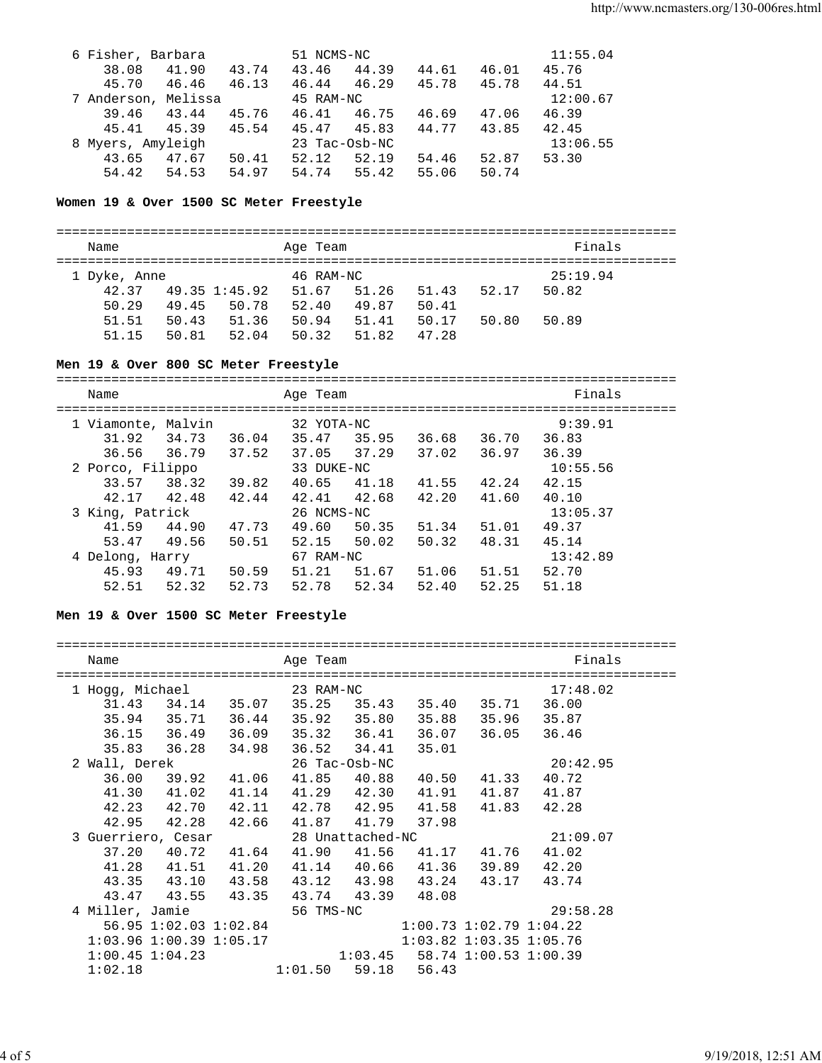| 6 Fisher, Barbara   |       |       | 51 NCMS-NC    |       |       |       | 11:55.04 |
|---------------------|-------|-------|---------------|-------|-------|-------|----------|
| 38.08               | 41.90 | 43.74 | 43.46         | 44.39 | 44.61 | 46.01 | 45.76    |
| 45.70               | 46.46 | 46.13 | 46.44         | 46.29 | 45.78 | 45.78 | 44.51    |
| 7 Anderson, Melissa |       |       | 45 RAM-NC     |       |       |       | 12:00.67 |
| 39.46               | 43.44 | 45.76 | 46.41         | 46.75 | 46.69 | 47.06 | 46.39    |
| 45.41               | 45.39 | 45.54 | 45.47         | 45.83 | 44.77 | 43.85 | 42.45    |
| 8 Myers, Amyleigh   |       |       | 23 Tac-Osb-NC |       |       |       | 13:06.55 |
| 43.65               | 47.67 | 50.41 | 52.12         | 52.19 | 54.46 | 52.87 | 53.30    |
| 54.42               | 54.53 | 54.97 | 54.74         | 55.42 | 55.06 | 50.74 |          |

**Women 19 & Over 1500 SC Meter Freestyle**

=============================================================================== Name **Age Team Age Team Age Team Age Team Age Team Pinals** =============================================================================== 1 Dyke, Anne 46 RAM-NC 25:19.94 42.37 49.35 1:45.92 51.67 51.26 51.43 52.17 50.82 50.29 49.45 50.78 52.40 49.87 50.41 51.51 50.43 51.36 50.94 51.41 50.17 50.80 50.89 51.15 50.81 52.04 50.32 51.82 47.28

### **Men 19 & Over 800 SC Meter Freestyle**

===============================================================================

| Name               |       |       | Age Team   |       |       |       | Finals   |
|--------------------|-------|-------|------------|-------|-------|-------|----------|
| 1 Viamonte, Malvin |       |       | 32 YOTA-NC |       |       |       | 9:39.91  |
| 31.92              | 34.73 | 36.04 | 35.47      | 35.95 | 36.68 | 36.70 | 36.83    |
| 36.56              | 36.79 | 37.52 | 37.05      | 37.29 | 37.02 | 36.97 | 36.39    |
| 2 Porco, Filippo   |       |       | 33 DUKE-NC |       |       |       | 10:55.56 |
| 33.57              | 38.32 | 39.82 | 40.65      | 41.18 | 41.55 | 42.24 | 42.15    |
| 42.17              | 42.48 | 42.44 | 42.41      | 42.68 | 42.20 | 41.60 | 40.10    |
| 3 King, Patrick    |       |       | 26 NCMS-NC |       |       |       | 13:05.37 |
| 41.59              | 44.90 | 47.73 | 49.60      | 50.35 | 51.34 | 51.01 | 49.37    |
| 53.47              | 49.56 | 50.51 | 52.15      | 50.02 | 50.32 | 48.31 | 45.14    |
| 4 Delong, Harry    |       |       | 67 RAM-NC  |       |       |       | 13:42.89 |
| 45.93              | 49.71 | 50.59 | 51.21      | 51.67 | 51.06 | 51.51 | 52.70    |
| 52.51              | 52.32 | 52.73 | 52.78      | 52.34 | 52.40 | 52.25 | 51.18    |
|                    |       |       |            |       |       |       |          |

#### **Men 19 & Over 1500 SC Meter Freestyle**

| Name                |             | ===============               | Age Team |                                 |       |                               | Finals      |  |
|---------------------|-------------|-------------------------------|----------|---------------------------------|-------|-------------------------------|-------------|--|
| 1 Hogg, Michael     |             |                               |          | 23 RAM-NC                       |       |                               | 17:48.02    |  |
|                     |             | 31.43 34.14 35.07             | 35.25    | 35.43                           |       | 35.40 35.71 36.00             |             |  |
|                     | 35.94 35.71 | 36.44                         | 35.92    | 35.80                           | 35.88 | 35.96                         | 35.87       |  |
|                     | 36.15 36.49 | 36.09                         |          | 35.32 36.41                     |       | 36.07 36.05                   | 36.46       |  |
|                     | 35.83 36.28 | 34.98                         |          | 36.52 34.41                     | 35.01 |                               |             |  |
| 2 Wall, Derek       |             |                               |          | 26 Tac-Osb-NC                   |       |                               | 20:42.95    |  |
| 36.00               | 39.92       | 41.06                         |          | 41.85 40.88                     | 40.50 | 41.33                         | 40.72       |  |
| 41.30               | 41.02       | 41.14                         |          | 41.29 42.30                     | 41.91 | 41.87                         | 41.87       |  |
|                     | 42.23 42.70 | 42.11                         |          | 42.78 42.95                     | 41.58 | 41.83                         | 42.28       |  |
| 42.95               | 42.28       | 42.66                         |          | 41.87 41.79                     | 37.98 |                               |             |  |
| 3 Guerriero, Cesar  |             |                               |          | 28 Unattached-NC                |       |                               | 21:09.07    |  |
| 37.20               | 40.72       | 41.64                         |          | 41.90 41.56                     |       | 41.17 41.76                   | 41.02       |  |
| 41.28               | 41.51       | 41.20                         |          | 41.14 40.66                     |       | 41.36 39.89                   | 42.20       |  |
| 43.35               | 43.10       | 43.58                         |          | 43.12 43.98 43.24               |       |                               | 43.17 43.74 |  |
|                     |             | 43.47 43.55 43.35             |          | 43.74 43.39 48.08               |       |                               |             |  |
| 4 Miller, Jamie     |             |                               |          | 56 TMS-NC                       |       |                               | 29:58.28    |  |
|                     |             | 56.95 1:02.03 1:02.84         |          |                                 |       | $1:00.73$ $1:02.79$ $1:04.22$ |             |  |
|                     |             | $1:03.96$ $1:00.39$ $1:05.17$ |          |                                 |       | $1:03.82$ $1:03.35$ $1:05.76$ |             |  |
| $1:00.45$ $1:04.23$ |             |                               |          | $1:03.45$ 58.74 1:00.53 1:00.39 |       |                               |             |  |
| 1:02.18             |             |                               |          | $1:01.50$ 59.18 56.43           |       |                               |             |  |